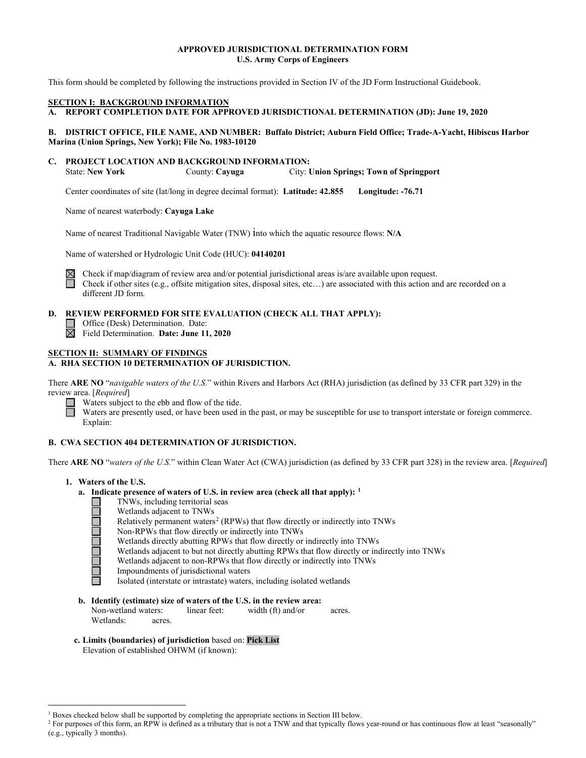### **APPROVED JURISDICTIONAL DETERMINATION FORM U.S. Army Corps of Engineers**

This form should be completed by following the instructions provided in Section IV of the JD Form Instructional Guidebook.

#### **SECTION I: BACKGROUND INFORMATION**

**A. REPORT COMPLETION DATE FOR APPROVED JURISDICTIONAL DETERMINATION (JD): June 19, 2020** 

#### **B. DISTRICT OFFICE, FILE NAME, AND NUMBER: Buffalo District; Auburn Field Office; Trade-A-Yacht, Hibiscus Harbor Marina (Union Springs, New York); File No. 1983-10120**

**C. PROJECT LOCATION AND BACKGROUND INFORMATION:**

State: **New York** County: **Cayuga** City: **Union Springs; Town of Springport**

Center coordinates of site (lat/long in degree decimal format): **Latitude: 42.855 Longitude: -76.71**

Name of nearest waterbody: **Cayuga Lake**

Name of nearest Traditional Navigable Water (TNW) into which the aquatic resource flows: **N/A**

Name of watershed or Hydrologic Unit Code (HUC): **04140201**



Check if map/diagram of review area and/or potential jurisdictional areas is/are available upon request. Check if other sites (e.g., offsite mitigation sites, disposal sites, etc…) are associated with this action and are recorded on a different JD form.

### **D. REVIEW PERFORMED FOR SITE EVALUATION (CHECK ALL THAT APPLY):**

Office (Desk) Determination. Date: П 岗 Field Determination. **Date: June 11, 2020**

# **SECTION II: SUMMARY OF FINDINGS**

### **A. RHA SECTION 10 DETERMINATION OF JURISDICTION.**

There **ARE NO** "*navigable waters of the U.S.*" within Rivers and Harbors Act (RHA) jurisdiction (as defined by 33 CFR part 329) in the review area. [*Required*]

Waters subject to the ebb and flow of the tide.

Waters are presently used, or have been used in the past, or may be susceptible for use to transport interstate or foreign commerce. Explain:

### **B. CWA SECTION 404 DETERMINATION OF JURISDICTION.**

There **ARE NO** "*waters of the U.S.*" within Clean Water Act (CWA) jurisdiction (as defined by 33 CFR part 328) in the review area. [*Required*]

- **1. Waters of the U.S.**
	- **a. Indicate presence of waters of U.S. in review area (check all that apply): [1](#page-0-0)**
		- TNWs, including territorial seas **NOCIOLATIC**
		- Wetlands adjacent to TNWs
			- Relatively permanent waters<sup>[2](#page-0-1)</sup> (RPWs) that flow directly or indirectly into TNWs
			- Non-RPWs that flow directly or indirectly into TNWs
			- Wetlands directly abutting RPWs that flow directly or indirectly into TNWs
			- Wetlands adjacent to but not directly abutting RPWs that flow directly or indirectly into TNWs
			- Wetlands adjacent to non-RPWs that flow directly or indirectly into TNWs
			- Impoundments of jurisdictional waters
			- Isolated (interstate or intrastate) waters, including isolated wetlands

#### **b. Identify (estimate) size of waters of the U.S. in the review area:**

Non-wetland waters: linear feet: width (ft) and/or acres. Wetlands: acres.

**c. Limits (boundaries) of jurisdiction** based on: **Pick List**

Elevation of established OHWM (if known):

 $1$  Boxes checked below shall be supported by completing the appropriate sections in Section III below.

<span id="page-0-1"></span><span id="page-0-0"></span><sup>&</sup>lt;sup>2</sup> For purposes of this form, an RPW is defined as a tributary that is not a TNW and that typically flows year-round or has continuous flow at least "seasonally" (e.g., typically 3 months).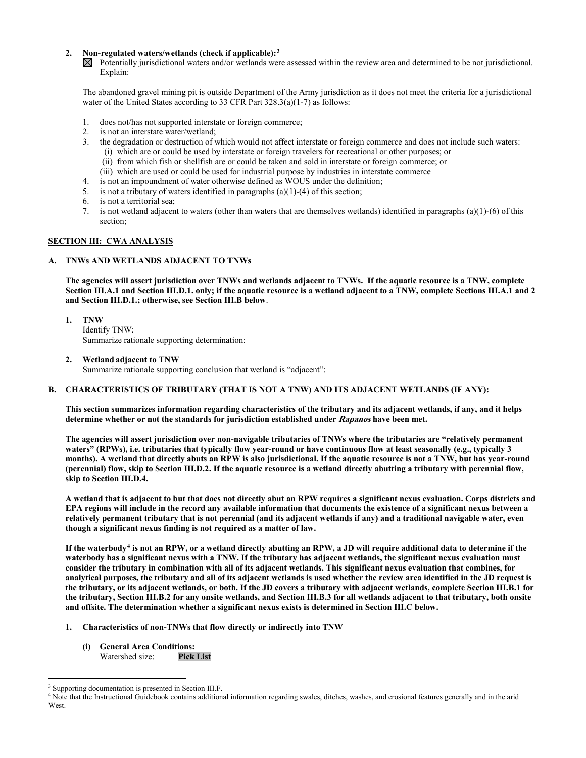#### **2. Non-regulated waters/wetlands (check if applicable):[3](#page-1-0)**

 $\boxtimes$  Potentially jurisdictional waters and/or wetlands were assessed within the review area and determined to be not jurisdictional. Explain:

The abandoned gravel mining pit is outside Department of the Army jurisdiction as it does not meet the criteria for a jurisdictional water of the United States according to 33 CFR Part 328.3(a)(1-7) as follows:

- 1. does not/has not supported interstate or foreign commerce;
- 2. is not an interstate water/wetland;<br>3. the degradation or destruction of v
- 3. the degradation or destruction of which would not affect interstate or foreign commerce and does not include such waters: (i) which are or could be used by interstate or foreign travelers for recreational or other purposes; or
	- (ii) from which fish or shellfish are or could be taken and sold in interstate or foreign commerce; or
	- (iii) which are used or could be used for industrial purpose by industries in interstate commerce
- 4. is not an impoundment of water otherwise defined as WOUS under the definition;
- 5. is not a tributary of waters identified in paragraphs (a)(1)-(4) of this section;
- 6. is not a territorial sea;
- 7. is not wetland adjacent to waters (other than waters that are themselves wetlands) identified in paragraphs (a)(1)-(6) of this section;

#### **SECTION III: CWA ANALYSIS**

#### **A. TNWs AND WETLANDS ADJACENT TO TNWs**

**The agencies will assert jurisdiction over TNWs and wetlands adjacent to TNWs. If the aquatic resource is a TNW, complete Section III.A.1 and Section III.D.1. only; if the aquatic resource is a wetland adjacent to a TNW, complete Sections III.A.1 and 2 and Section III.D.1.; otherwise, see Section III.B below**.

- **1. TNW**  Identify TNW: Summarize rationale supporting determination:
- **2. Wetland adjacent to TNW**

Summarize rationale supporting conclusion that wetland is "adjacent":

### **B. CHARACTERISTICS OF TRIBUTARY (THAT IS NOT A TNW) AND ITS ADJACENT WETLANDS (IF ANY):**

**This section summarizes information regarding characteristics of the tributary and its adjacent wetlands, if any, and it helps determine whether or not the standards for jurisdiction established under Rapanos have been met.** 

**The agencies will assert jurisdiction over non-navigable tributaries of TNWs where the tributaries are "relatively permanent waters" (RPWs), i.e. tributaries that typically flow year-round or have continuous flow at least seasonally (e.g., typically 3 months). A wetland that directly abuts an RPW is also jurisdictional. If the aquatic resource is not a TNW, but has year-round (perennial) flow, skip to Section III.D.2. If the aquatic resource is a wetland directly abutting a tributary with perennial flow, skip to Section III.D.4.**

**A wetland that is adjacent to but that does not directly abut an RPW requires a significant nexus evaluation. Corps districts and EPA regions will include in the record any available information that documents the existence of a significant nexus between a relatively permanent tributary that is not perennial (and its adjacent wetlands if any) and a traditional navigable water, even though a significant nexus finding is not required as a matter of law.**

**If the waterbody[4](#page-1-1) is not an RPW, or a wetland directly abutting an RPW, a JD will require additional data to determine if the waterbody has a significant nexus with a TNW. If the tributary has adjacent wetlands, the significant nexus evaluation must consider the tributary in combination with all of its adjacent wetlands. This significant nexus evaluation that combines, for analytical purposes, the tributary and all of its adjacent wetlands is used whether the review area identified in the JD request is the tributary, or its adjacent wetlands, or both. If the JD covers a tributary with adjacent wetlands, complete Section III.B.1 for the tributary, Section III.B.2 for any onsite wetlands, and Section III.B.3 for all wetlands adjacent to that tributary, both onsite and offsite. The determination whether a significant nexus exists is determined in Section III.C below.**

- **1. Characteristics of non-TNWs that flow directly or indirectly into TNW**
	- **(i) General Area Conditions:** Watershed size:

<span id="page-1-0"></span><sup>&</sup>lt;sup>3</sup> Supporting documentation is presented in Section III.F.

<span id="page-1-1"></span><sup>4</sup> Note that the Instructional Guidebook contains additional information regarding swales, ditches, washes, and erosional features generally and in the arid West.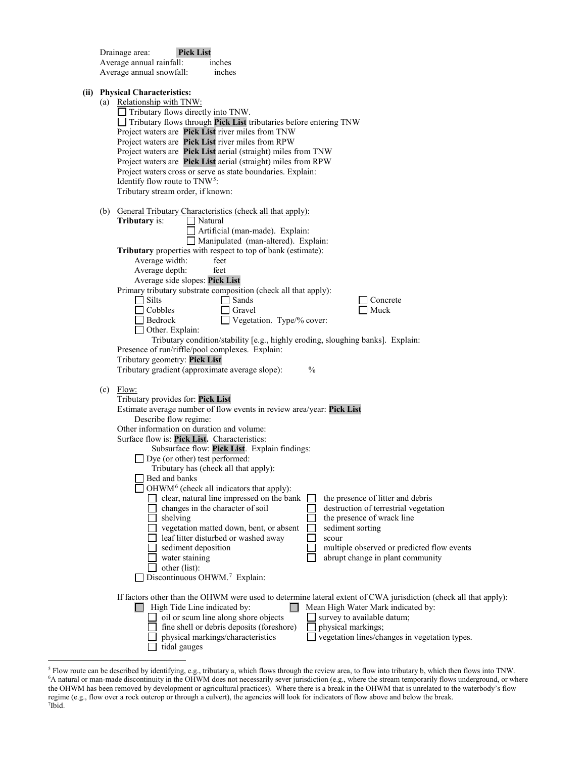| <b>Pick List</b><br>Drainage area:<br>Average annual rainfall:<br>inches<br>Average annual snowfall:<br>inches |                                                                                                                                                                                                                                                                                                                                                                                                                                                                                                                                                                                                                                                                                                                                                                                                                                                                                                                                                                               |
|----------------------------------------------------------------------------------------------------------------|-------------------------------------------------------------------------------------------------------------------------------------------------------------------------------------------------------------------------------------------------------------------------------------------------------------------------------------------------------------------------------------------------------------------------------------------------------------------------------------------------------------------------------------------------------------------------------------------------------------------------------------------------------------------------------------------------------------------------------------------------------------------------------------------------------------------------------------------------------------------------------------------------------------------------------------------------------------------------------|
|                                                                                                                | (ii) Physical Characteristics:<br>(a) Relationship with TNW:<br>Tributary flows directly into TNW.<br>$\Box$ Tributary flows through Pick List tributaries before entering TNW<br>Project waters are Pick List river miles from TNW<br>Project waters are Pick List river miles from RPW<br>Project waters are Pick List aerial (straight) miles from TNW<br>Project waters are Pick List aerial (straight) miles from RPW<br>Project waters cross or serve as state boundaries. Explain:<br>Identify flow route to $TNW^5$ :<br>Tributary stream order, if known:                                                                                                                                                                                                                                                                                                                                                                                                            |
|                                                                                                                | (b) General Tributary Characteristics (check all that apply):<br>Tributary is:<br>$\Box$ Natural<br>Artificial (man-made). Explain:<br>Manipulated (man-altered). Explain:<br>Tributary properties with respect to top of bank (estimate):<br>Average width:<br>feet                                                                                                                                                                                                                                                                                                                                                                                                                                                                                                                                                                                                                                                                                                          |
|                                                                                                                | Average depth:<br>feet<br>Average side slopes: Pick List<br>Primary tributary substrate composition (check all that apply):<br>$\Box$ Silts<br>Sands<br>Concrete<br>Cobbles<br>Muck<br>Gravel<br>Vegetation. Type/% cover:<br>Bedrock<br>Other. Explain:<br>Tributary condition/stability [e.g., highly eroding, sloughing banks]. Explain:<br>Presence of run/riffle/pool complexes. Explain:<br>Tributary geometry: Pick List<br>Tributary gradient (approximate average slope):<br>$\frac{0}{0}$                                                                                                                                                                                                                                                                                                                                                                                                                                                                           |
|                                                                                                                | $(c)$ Flow:<br>Tributary provides for: Pick List<br>Estimate average number of flow events in review area/year: Pick List<br>Describe flow regime:<br>Other information on duration and volume:<br>Surface flow is: Pick List. Characteristics:<br>Subsurface flow: Pick List. Explain findings:<br>$\Box$ Dye (or other) test performed:<br>Tributary has (check all that apply):<br>Bed and banks<br>OHWM <sup>6</sup> (check all indicators that apply):<br>clear, natural line impressed on the bank<br>the presence of litter and debris<br>changes in the character of soil<br>destruction of terrestrial vegetation<br>the presence of wrack line<br>shelving<br>vegetation matted down, bent, or absent<br>sediment sorting<br>leaf litter disturbed or washed away<br>scour<br>sediment deposition<br>multiple observed or predicted flow events<br>water staining<br>abrupt change in plant community<br>other (list):<br>Discontinuous OHWM. <sup>7</sup> Explain: |
|                                                                                                                | If factors other than the OHWM were used to determine lateral extent of CWA jurisdiction (check all that apply):<br>High Tide Line indicated by:<br>Mean High Water Mark indicated by:<br>oil or scum line along shore objects<br>survey to available datum;<br>fine shell or debris deposits (foreshore)<br>physical markings;<br>vegetation lines/changes in vegetation types.<br>physical markings/characteristics<br>tidal gauges                                                                                                                                                                                                                                                                                                                                                                                                                                                                                                                                         |

<span id="page-2-2"></span><span id="page-2-1"></span><span id="page-2-0"></span><sup>&</sup>lt;sup>5</sup> Flow route can be described by identifying, e.g., tributary a, which flows through the review area, to flow into tributary b, which then flows into TNW.<br><sup>6</sup>A natural or man-made discontinuity in the OHWM does not neces the OHWM has been removed by development or agricultural practices). Where there is a break in the OHWM that is unrelated to the waterbody's flow regime (e.g., flow over a rock outcrop or through a culvert), the agencies will look for indicators of flow above and below the break. 7 Ibid.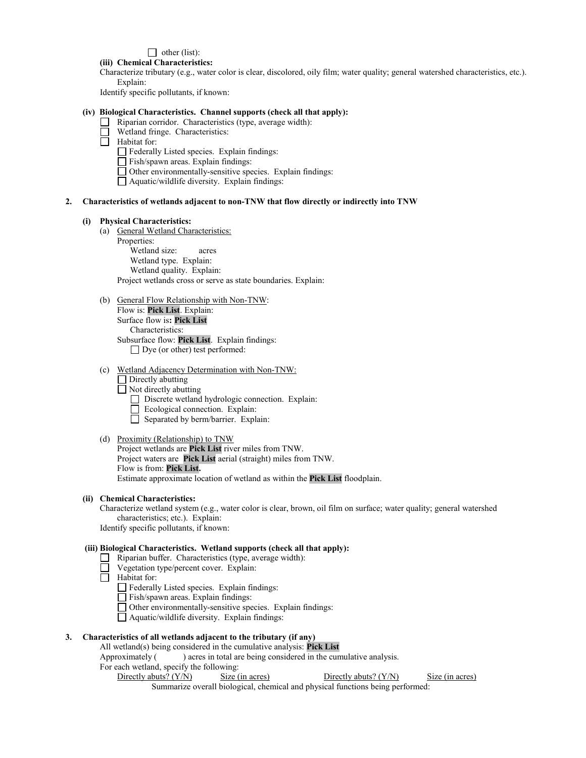## $\Box$  other (list):

## **(iii) Chemical Characteristics:**

Characterize tributary (e.g., water color is clear, discolored, oily film; water quality; general watershed characteristics, etc.). Explain:

Identify specific pollutants, if known:

### **(iv) Biological Characteristics. Channel supports (check all that apply):**

- Riparian corridor. Characteristics (type, average width):
	- Wetland fringe. Characteristics:
- $\Box$  Habitat for:
	- Federally Listed species. Explain findings:
	- Fish/spawn areas. Explain findings:
	- $\Box$  Other environmentally-sensitive species. Explain findings:
	- Aquatic/wildlife diversity. Explain findings:

#### **2. Characteristics of wetlands adjacent to non-TNW that flow directly or indirectly into TNW**

#### **(i) Physical Characteristics:**

(a) General Wetland Characteristics:

Properties: Wetland size: acres Wetland type. Explain: Wetland quality. Explain: Project wetlands cross or serve as state boundaries. Explain:

- (b) General Flow Relationship with Non-TNW: Flow is: **Pick List**. Explain: Surface flow is**: Pick List**  Characteristics: Subsurface flow: **Pick List**. Explain findings: □ Dye (or other) test performed:
- (c) Wetland Adjacency Determination with Non-TNW:
	- Directly abutting
	- $\Box$  Not directly abutting
		- Discrete wetland hydrologic connection. Explain:
	- Ecological connection. Explain:
		- Separated by berm/barrier. Explain:

#### (d) Proximity (Relationship) to TNW

Project wetlands are **Pick List** river miles from TNW. Project waters are **Pick List** aerial (straight) miles from TNW. Flow is from: **Pick List.** Estimate approximate location of wetland as within the **Pick List** floodplain.

#### **(ii) Chemical Characteristics:**

Characterize wetland system (e.g., water color is clear, brown, oil film on surface; water quality; general watershed characteristics; etc.). Explain:

Identify specific pollutants, if known:

### **(iii) Biological Characteristics. Wetland supports (check all that apply):**

- $\Box$  Riparian buffer. Characteristics (type, average width):
- Vegetation type/percent cover. Explain:
- Habitat for:
	- Federally Listed species. Explain findings:
	- Fish/spawn areas. Explain findings:
	- Other environmentally-sensitive species. Explain findings:
	- Aquatic/wildlife diversity. Explain findings:

## **3. Characteristics of all wetlands adjacent to the tributary (if any)**

All wetland(s) being considered in the cumulative analysis: **Pick List**

Approximately () acres in total are being considered in the cumulative analysis.

- For each wetland, specify the following:
	- Directly abuts? (Y/N) Size (in acres) Directly abuts? (Y/N) Size (in acres) Summarize overall biological, chemical and physical functions being performed: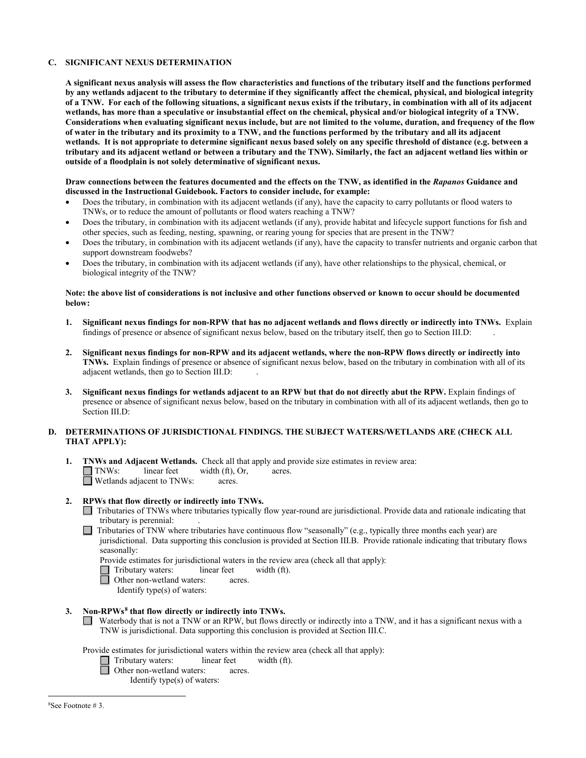### **C. SIGNIFICANT NEXUS DETERMINATION**

**A significant nexus analysis will assess the flow characteristics and functions of the tributary itself and the functions performed by any wetlands adjacent to the tributary to determine if they significantly affect the chemical, physical, and biological integrity of a TNW. For each of the following situations, a significant nexus exists if the tributary, in combination with all of its adjacent wetlands, has more than a speculative or insubstantial effect on the chemical, physical and/or biological integrity of a TNW. Considerations when evaluating significant nexus include, but are not limited to the volume, duration, and frequency of the flow of water in the tributary and its proximity to a TNW, and the functions performed by the tributary and all its adjacent wetlands. It is not appropriate to determine significant nexus based solely on any specific threshold of distance (e.g. between a tributary and its adjacent wetland or between a tributary and the TNW). Similarly, the fact an adjacent wetland lies within or outside of a floodplain is not solely determinative of significant nexus.** 

#### **Draw connections between the features documented and the effects on the TNW, as identified in the** *Rapanos* **Guidance and discussed in the Instructional Guidebook. Factors to consider include, for example:**

- Does the tributary, in combination with its adjacent wetlands (if any), have the capacity to carry pollutants or flood waters to TNWs, or to reduce the amount of pollutants or flood waters reaching a TNW?
- Does the tributary, in combination with its adjacent wetlands (if any), provide habitat and lifecycle support functions for fish and other species, such as feeding, nesting, spawning, or rearing young for species that are present in the TNW?
- Does the tributary, in combination with its adjacent wetlands (if any), have the capacity to transfer nutrients and organic carbon that support downstream foodwebs?
- Does the tributary, in combination with its adjacent wetlands (if any), have other relationships to the physical, chemical, or biological integrity of the TNW?

#### **Note: the above list of considerations is not inclusive and other functions observed or known to occur should be documented below:**

- **1. Significant nexus findings for non-RPW that has no adjacent wetlands and flows directly or indirectly into TNWs.** Explain findings of presence or absence of significant nexus below, based on the tributary itself, then go to Section III.D: .
- **2. Significant nexus findings for non-RPW and its adjacent wetlands, where the non-RPW flows directly or indirectly into TNWs.** Explain findings of presence or absence of significant nexus below, based on the tributary in combination with all of its adjacent wetlands, then go to Section III.D: .
- **3. Significant nexus findings for wetlands adjacent to an RPW but that do not directly abut the RPW.** Explain findings of presence or absence of significant nexus below, based on the tributary in combination with all of its adjacent wetlands, then go to Section III.D:

#### **D. DETERMINATIONS OF JURISDICTIONAL FINDINGS. THE SUBJECT WATERS/WETLANDS ARE (CHECK ALL THAT APPLY):**

**1. INWs and Adjacent Wetlands.** Check all that apply and provide size estimates in review area:  $\Box$  **TNWs:** linear feet width (ft), Or, acres.  $width (ft), Or, \n *acres.*$  $\Box$  Wetlands adjacent to TNWs:

## **2. RPWs that flow directly or indirectly into TNWs.**

- Tributaries of TNWs where tributaries typically flow year-round are jurisdictional. Provide data and rationale indicating that tributary is perennial: .
- $\Box$  Tributaries of TNW where tributaries have continuous flow "seasonally" (e.g., typically three months each year) are jurisdictional. Data supporting this conclusion is provided at Section III.B. Provide rationale indicating that tributary flows seasonally:
	- Provide estimates for jurisdictional waters in the review area (check all that apply):<br>
	Tributary waters: linear feet width  $(ft)$ .
	- Tributary waters: linear feet width (ft).
	- Other non-wetland waters: acres.
		- Identify type(s) of waters:
- **3. Non-RPWs[8](#page-4-0) that flow directly or indirectly into TNWs.**
	- Waterbody that is not a TNW or an RPW, but flows directly or indirectly into a TNW, and it has a significant nexus with a TNW is jurisdictional. Data supporting this conclusion is provided at Section III.C.

<span id="page-4-0"></span>Provide estimates for jurisdictional waters within the review area (check all that apply):

 Tributary waters: linear feet width (ft). Other non-wetland waters: acres.

Identify type(s) of waters: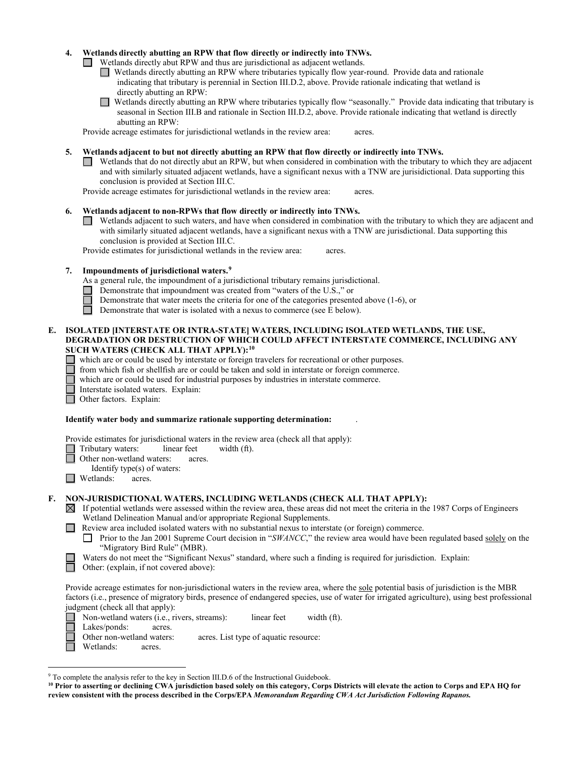#### **4. Wetlands directly abutting an RPW that flow directly or indirectly into TNWs.**

Wetlands directly abut RPW and thus are jurisdictional as adjacent wetlands.

- Wetlands directly abutting an RPW where tributaries typically flow year-round. Provide data and rationale indicating that tributary is perennial in Section III.D.2, above. Provide rationale indicating that wetland is directly abutting an RPW:
- Wetlands directly abutting an RPW where tributaries typically flow "seasonally." Provide data indicating that tributary is  $\Box$ seasonal in Section III.B and rationale in Section III.D.2, above. Provide rationale indicating that wetland is directly abutting an RPW:

Provide acreage estimates for jurisdictional wetlands in the review area: acres.

- **5. Wetlands adjacent to but not directly abutting an RPW that flow directly or indirectly into TNWs.**
	- Wetlands that do not directly abut an RPW, but when considered in combination with the tributary to which they are adjacent and with similarly situated adjacent wetlands, have a significant nexus with a TNW are jurisidictional. Data supporting this conclusion is provided at Section III.C.

Provide acreage estimates for jurisdictional wetlands in the review area: acres.

### **6. Wetlands adjacent to non-RPWs that flow directly or indirectly into TNWs.**

Wetlands adjacent to such waters, and have when considered in combination with the tributary to which they are adjacent and with similarly situated adjacent wetlands, have a significant nexus with a TNW are jurisdictional. Data supporting this conclusion is provided at Section III.C.

Provide estimates for jurisdictional wetlands in the review area: acres.

### **7. Impoundments of jurisdictional waters. [9](#page-5-0)**

- As a general rule, the impoundment of a jurisdictional tributary remains jurisdictional.
- Demonstrate that impoundment was created from "waters of the U.S.," or
- Demonstrate that water meets the criteria for one of the categories presented above (1-6), or
- $\Box$ Demonstrate that water is isolated with a nexus to commerce (see E below).

#### **E. ISOLATED [INTERSTATE OR INTRA-STATE] WATERS, INCLUDING ISOLATED WETLANDS, THE USE, DEGRADATION OR DESTRUCTION OF WHICH COULD AFFECT INTERSTATE COMMERCE, INCLUDING ANY SUCH WATERS (CHECK ALL THAT APPLY):[10](#page-5-1)**

- which are or could be used by interstate or foreign travelers for recreational or other purposes.
- from which fish or shellfish are or could be taken and sold in interstate or foreign commerce.
- which are or could be used for industrial purposes by industries in interstate commerce.
- Interstate isolated waters.Explain:
- П Other factors.Explain:

#### **Identify water body and summarize rationale supporting determination:** .

Provide estimates for jurisdictional waters in the review area (check all that apply):

□ Tributary waters: linear feet width (ft). 戸

Other non-wetland waters: acres.

Identify type(s) of waters:

 $\Box$  Wetlands: acres.

### **F. NON-JURISDICTIONAL WATERS, INCLUDING WETLANDS (CHECK ALL THAT APPLY):**

- $\boxtimes$  If potential wetlands were assessed within the review area, these areas did not meet the criteria in the 1987 Corps of Engineers Wetland Delineation Manual and/or appropriate Regional Supplements.
- Review area included isolated waters with no substantial nexus to interstate (or foreign) commerce.

**Prior to the Jan 2001 Supreme Court decision in "***SWANCC*," the review area would have been regulated based solely on the "Migratory Bird Rule" (MBR).

Waters do not meet the "Significant Nexus" standard, where such a finding is required for jurisdiction. Explain:

Other: (explain, if not covered above):

Provide acreage estimates for non-jurisdictional waters in the review area, where the sole potential basis of jurisdiction is the MBR factors (i.e., presence of migratory birds, presence of endangered species, use of water for irrigated agriculture), using best professional judgment (check all that apply):

**Non-wetland waters (i.e., rivers, streams):** linear feet width (ft).

Lakes/ponds: acres.

Other non-wetland waters: acres. List type of aquatic resource:

Wetlands: acres.

<span id="page-5-0"></span> <sup>9</sup> To complete the analysis refer to the key in Section III.D.6 of the Instructional Guidebook.

<span id="page-5-1"></span>**<sup>10</sup> Prior to asserting or declining CWA jurisdiction based solely on this category, Corps Districts will elevate the action to Corps and EPA HQ for review consistent with the process described in the Corps/EPA** *Memorandum Regarding CWA Act Jurisdiction Following Rapanos.*